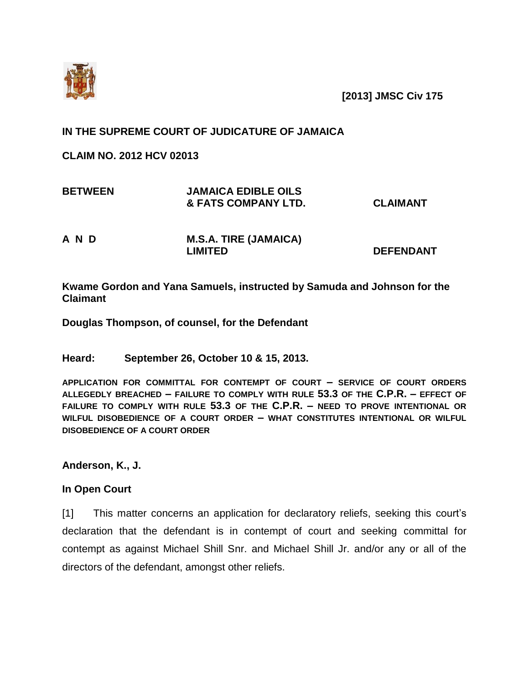

**[2013] JMSC Civ 175**

## **IN THE SUPREME COURT OF JUDICATURE OF JAMAICA**

**CLAIM NO. 2012 HCV 02013** 

| <b>BETWEEN</b> | <b>JAMAICA EDIBLE OILS</b><br><b>&amp; FATS COMPANY LTD.</b> | <b>CLAIMANT</b>  |
|----------------|--------------------------------------------------------------|------------------|
| A N D          | <b>M.S.A. TIRE (JAMAICA)</b><br><b>LIMITED</b>               | <b>DEFENDANT</b> |

**Kwame Gordon and Yana Samuels, instructed by Samuda and Johnson for the Claimant**

**Douglas Thompson, of counsel, for the Defendant**

**Heard: September 26, October 10 & 15, 2013.**

**APPLICATION FOR COMMITTAL FOR CONTEMPT OF COURT – SERVICE OF COURT ORDERS ALLEGEDLY BREACHED – FAILURE TO COMPLY WITH RULE 53.3 OF THE C.P.R. – EFFECT OF FAILURE TO COMPLY WITH RULE 53.3 OF THE C.P.R. – NEED TO PROVE INTENTIONAL OR WILFUL DISOBEDIENCE OF A COURT ORDER – WHAT CONSTITUTES INTENTIONAL OR WILFUL DISOBEDIENCE OF A COURT ORDER**

**Anderson, K., J.**

## **In Open Court**

[1] This matter concerns an application for declaratory reliefs, seeking this court's declaration that the defendant is in contempt of court and seeking committal for contempt as against Michael Shill Snr. and Michael Shill Jr. and/or any or all of the directors of the defendant, amongst other reliefs.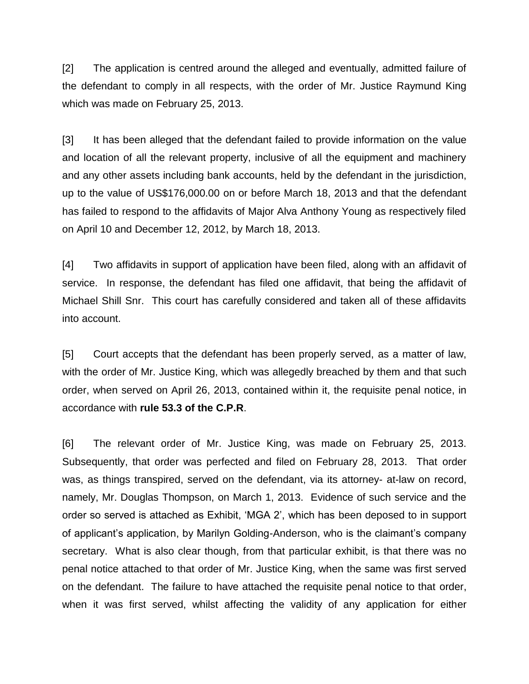[2] The application is centred around the alleged and eventually, admitted failure of the defendant to comply in all respects, with the order of Mr. Justice Raymund King which was made on February 25, 2013.

[3] It has been alleged that the defendant failed to provide information on the value and location of all the relevant property, inclusive of all the equipment and machinery and any other assets including bank accounts, held by the defendant in the jurisdiction, up to the value of US\$176,000.00 on or before March 18, 2013 and that the defendant has failed to respond to the affidavits of Major Alva Anthony Young as respectively filed on April 10 and December 12, 2012, by March 18, 2013.

[4] Two affidavits in support of application have been filed, along with an affidavit of service. In response, the defendant has filed one affidavit, that being the affidavit of Michael Shill Snr. This court has carefully considered and taken all of these affidavits into account.

[5] Court accepts that the defendant has been properly served, as a matter of law, with the order of Mr. Justice King, which was allegedly breached by them and that such order, when served on April 26, 2013, contained within it, the requisite penal notice, in accordance with **rule 53.3 of the C.P.R**.

[6] The relevant order of Mr. Justice King, was made on February 25, 2013. Subsequently, that order was perfected and filed on February 28, 2013. That order was, as things transpired, served on the defendant, via its attorney- at-law on record, namely, Mr. Douglas Thompson, on March 1, 2013. Evidence of such service and the order so served is attached as Exhibit, 'MGA 2', which has been deposed to in support of applicant's application, by Marilyn Golding-Anderson, who is the claimant's company secretary. What is also clear though, from that particular exhibit, is that there was no penal notice attached to that order of Mr. Justice King, when the same was first served on the defendant. The failure to have attached the requisite penal notice to that order, when it was first served, whilst affecting the validity of any application for either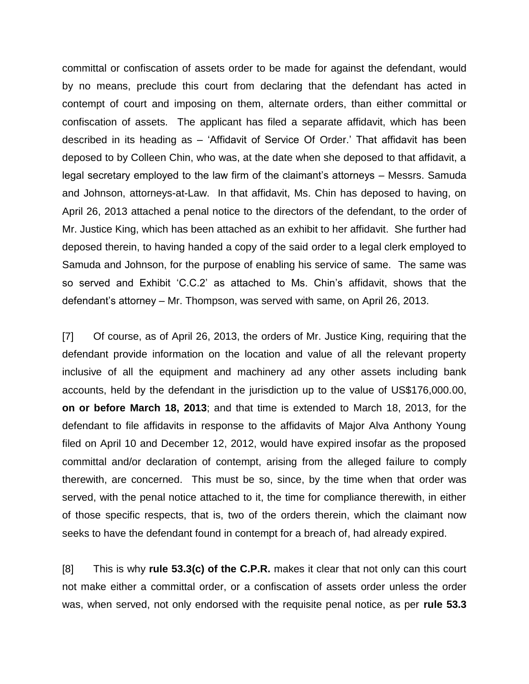committal or confiscation of assets order to be made for against the defendant, would by no means, preclude this court from declaring that the defendant has acted in contempt of court and imposing on them, alternate orders, than either committal or confiscation of assets. The applicant has filed a separate affidavit, which has been described in its heading as – 'Affidavit of Service Of Order.' That affidavit has been deposed to by Colleen Chin, who was, at the date when she deposed to that affidavit, a legal secretary employed to the law firm of the claimant's attorneys – Messrs. Samuda and Johnson, attorneys-at-Law. In that affidavit, Ms. Chin has deposed to having, on April 26, 2013 attached a penal notice to the directors of the defendant, to the order of Mr. Justice King, which has been attached as an exhibit to her affidavit. She further had deposed therein, to having handed a copy of the said order to a legal clerk employed to Samuda and Johnson, for the purpose of enabling his service of same. The same was so served and Exhibit 'C.C.2' as attached to Ms. Chin's affidavit, shows that the defendant's attorney – Mr. Thompson, was served with same, on April 26, 2013.

[7] Of course, as of April 26, 2013, the orders of Mr. Justice King, requiring that the defendant provide information on the location and value of all the relevant property inclusive of all the equipment and machinery ad any other assets including bank accounts, held by the defendant in the jurisdiction up to the value of US\$176,000.00, **on or before March 18, 2013**; and that time is extended to March 18, 2013, for the defendant to file affidavits in response to the affidavits of Major Alva Anthony Young filed on April 10 and December 12, 2012, would have expired insofar as the proposed committal and/or declaration of contempt, arising from the alleged failure to comply therewith, are concerned. This must be so, since, by the time when that order was served, with the penal notice attached to it, the time for compliance therewith, in either of those specific respects, that is, two of the orders therein, which the claimant now seeks to have the defendant found in contempt for a breach of, had already expired.

[8] This is why **rule 53.3(c) of the C.P.R.** makes it clear that not only can this court not make either a committal order, or a confiscation of assets order unless the order was, when served, not only endorsed with the requisite penal notice, as per **rule 53.3**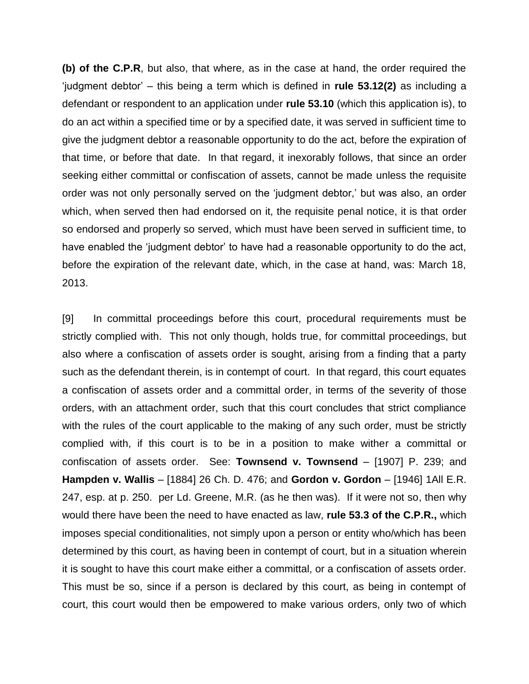**(b) of the C.P.R**, but also, that where, as in the case at hand, the order required the 'judgment debtor' – this being a term which is defined in **rule 53.12(2)** as including a defendant or respondent to an application under **rule 53.10** (which this application is), to do an act within a specified time or by a specified date, it was served in sufficient time to give the judgment debtor a reasonable opportunity to do the act, before the expiration of that time, or before that date. In that regard, it inexorably follows, that since an order seeking either committal or confiscation of assets, cannot be made unless the requisite order was not only personally served on the 'judgment debtor,' but was also, an order which, when served then had endorsed on it, the requisite penal notice, it is that order so endorsed and properly so served, which must have been served in sufficient time, to have enabled the 'judgment debtor' to have had a reasonable opportunity to do the act, before the expiration of the relevant date, which, in the case at hand, was: March 18, 2013.

[9] In committal proceedings before this court, procedural requirements must be strictly complied with. This not only though, holds true, for committal proceedings, but also where a confiscation of assets order is sought, arising from a finding that a party such as the defendant therein, is in contempt of court. In that regard, this court equates a confiscation of assets order and a committal order, in terms of the severity of those orders, with an attachment order, such that this court concludes that strict compliance with the rules of the court applicable to the making of any such order, must be strictly complied with, if this court is to be in a position to make wither a committal or confiscation of assets order. See: **Townsend v. Townsend** – [1907] P. 239; and **Hampden v. Wallis** – [1884] 26 Ch. D. 476; and **Gordon v. Gordon** – [1946] 1All E.R. 247, esp. at p. 250. per Ld. Greene, M.R. (as he then was). If it were not so, then why would there have been the need to have enacted as law, **rule 53.3 of the C.P.R.,** which imposes special conditionalities, not simply upon a person or entity who/which has been determined by this court, as having been in contempt of court, but in a situation wherein it is sought to have this court make either a committal, or a confiscation of assets order. This must be so, since if a person is declared by this court, as being in contempt of court, this court would then be empowered to make various orders, only two of which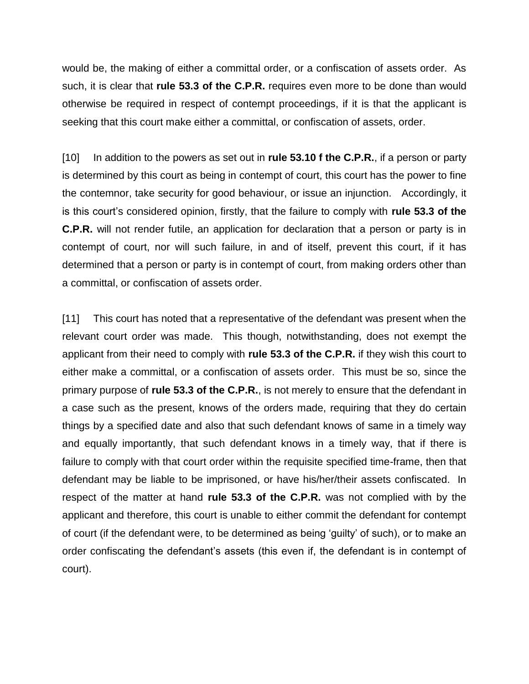would be, the making of either a committal order, or a confiscation of assets order. As such, it is clear that **rule 53.3 of the C.P.R.** requires even more to be done than would otherwise be required in respect of contempt proceedings, if it is that the applicant is seeking that this court make either a committal, or confiscation of assets, order.

[10] In addition to the powers as set out in **rule 53.10 f the C.P.R.**, if a person or party is determined by this court as being in contempt of court, this court has the power to fine the contemnor, take security for good behaviour, or issue an injunction. Accordingly, it is this court's considered opinion, firstly, that the failure to comply with **rule 53.3 of the C.P.R.** will not render futile, an application for declaration that a person or party is in contempt of court, nor will such failure, in and of itself, prevent this court, if it has determined that a person or party is in contempt of court, from making orders other than a committal, or confiscation of assets order.

[11] This court has noted that a representative of the defendant was present when the relevant court order was made. This though, notwithstanding, does not exempt the applicant from their need to comply with **rule 53.3 of the C.P.R.** if they wish this court to either make a committal, or a confiscation of assets order. This must be so, since the primary purpose of **rule 53.3 of the C.P.R.**, is not merely to ensure that the defendant in a case such as the present, knows of the orders made, requiring that they do certain things by a specified date and also that such defendant knows of same in a timely way and equally importantly, that such defendant knows in a timely way, that if there is failure to comply with that court order within the requisite specified time-frame, then that defendant may be liable to be imprisoned, or have his/her/their assets confiscated. In respect of the matter at hand **rule 53.3 of the C.P.R.** was not complied with by the applicant and therefore, this court is unable to either commit the defendant for contempt of court (if the defendant were, to be determined as being 'guilty' of such), or to make an order confiscating the defendant's assets (this even if, the defendant is in contempt of court).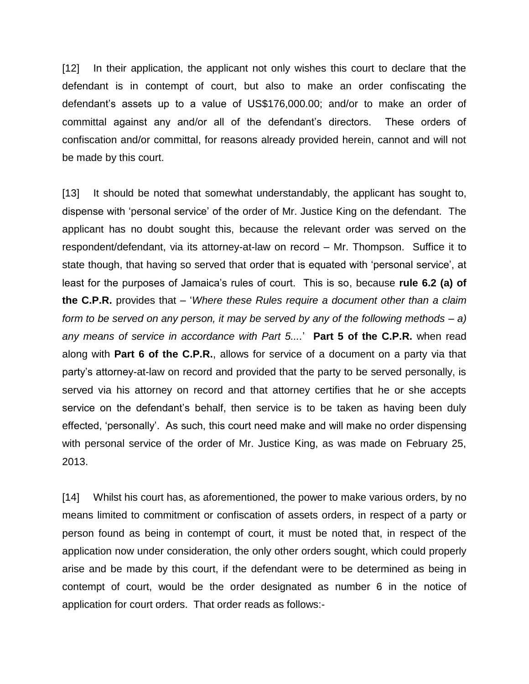[12] In their application, the applicant not only wishes this court to declare that the defendant is in contempt of court, but also to make an order confiscating the defendant's assets up to a value of US\$176,000.00; and/or to make an order of committal against any and/or all of the defendant's directors. These orders of confiscation and/or committal, for reasons already provided herein, cannot and will not be made by this court.

[13] It should be noted that somewhat understandably, the applicant has sought to, dispense with 'personal service' of the order of Mr. Justice King on the defendant. The applicant has no doubt sought this, because the relevant order was served on the respondent/defendant, via its attorney-at-law on record – Mr. Thompson. Suffice it to state though, that having so served that order that is equated with 'personal service', at least for the purposes of Jamaica's rules of court. This is so, because **rule 6.2 (a) of the C.P.R.** provides that – '*Where these Rules require a document other than a claim form to be served on any person, it may be served by any of the following methods – a) any means of service in accordance with Part 5....*' **Part 5 of the C.P.R.** when read along with **Part 6 of the C.P.R.**, allows for service of a document on a party via that party's attorney-at-law on record and provided that the party to be served personally, is served via his attorney on record and that attorney certifies that he or she accepts service on the defendant's behalf, then service is to be taken as having been duly effected, 'personally'. As such, this court need make and will make no order dispensing with personal service of the order of Mr. Justice King, as was made on February 25, 2013.

[14] Whilst his court has, as aforementioned, the power to make various orders, by no means limited to commitment or confiscation of assets orders, in respect of a party or person found as being in contempt of court, it must be noted that, in respect of the application now under consideration, the only other orders sought, which could properly arise and be made by this court, if the defendant were to be determined as being in contempt of court, would be the order designated as number 6 in the notice of application for court orders. That order reads as follows:-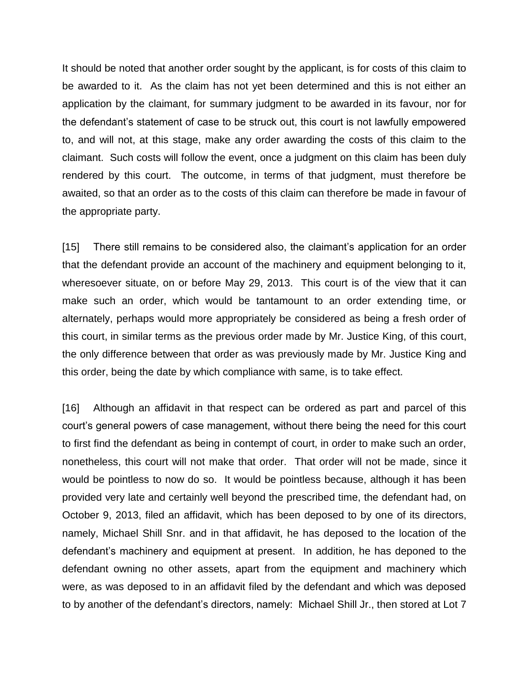It should be noted that another order sought by the applicant, is for costs of this claim to be awarded to it. As the claim has not yet been determined and this is not either an application by the claimant, for summary judgment to be awarded in its favour, nor for the defendant's statement of case to be struck out, this court is not lawfully empowered to, and will not, at this stage, make any order awarding the costs of this claim to the claimant. Such costs will follow the event, once a judgment on this claim has been duly rendered by this court. The outcome, in terms of that judgment, must therefore be awaited, so that an order as to the costs of this claim can therefore be made in favour of the appropriate party.

[15] There still remains to be considered also, the claimant's application for an order that the defendant provide an account of the machinery and equipment belonging to it, wheresoever situate, on or before May 29, 2013. This court is of the view that it can make such an order, which would be tantamount to an order extending time, or alternately, perhaps would more appropriately be considered as being a fresh order of this court, in similar terms as the previous order made by Mr. Justice King, of this court, the only difference between that order as was previously made by Mr. Justice King and this order, being the date by which compliance with same, is to take effect.

[16] Although an affidavit in that respect can be ordered as part and parcel of this court's general powers of case management, without there being the need for this court to first find the defendant as being in contempt of court, in order to make such an order, nonetheless, this court will not make that order. That order will not be made, since it would be pointless to now do so. It would be pointless because, although it has been provided very late and certainly well beyond the prescribed time, the defendant had, on October 9, 2013, filed an affidavit, which has been deposed to by one of its directors, namely, Michael Shill Snr. and in that affidavit, he has deposed to the location of the defendant's machinery and equipment at present. In addition, he has deponed to the defendant owning no other assets, apart from the equipment and machinery which were, as was deposed to in an affidavit filed by the defendant and which was deposed to by another of the defendant's directors, namely: Michael Shill Jr., then stored at Lot 7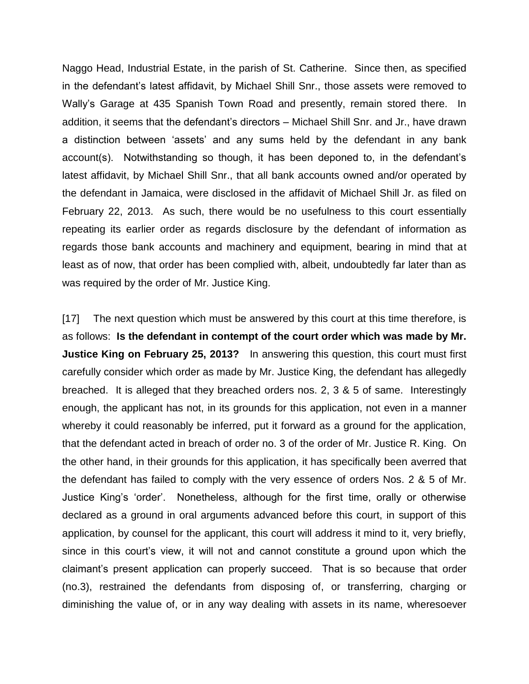Naggo Head, Industrial Estate, in the parish of St. Catherine. Since then, as specified in the defendant's latest affidavit, by Michael Shill Snr., those assets were removed to Wally's Garage at 435 Spanish Town Road and presently, remain stored there. In addition, it seems that the defendant's directors – Michael Shill Snr. and Jr., have drawn a distinction between 'assets' and any sums held by the defendant in any bank account(s). Notwithstanding so though, it has been deponed to, in the defendant's latest affidavit, by Michael Shill Snr., that all bank accounts owned and/or operated by the defendant in Jamaica, were disclosed in the affidavit of Michael Shill Jr. as filed on February 22, 2013. As such, there would be no usefulness to this court essentially repeating its earlier order as regards disclosure by the defendant of information as regards those bank accounts and machinery and equipment, bearing in mind that at least as of now, that order has been complied with, albeit, undoubtedly far later than as was required by the order of Mr. Justice King.

[17] The next question which must be answered by this court at this time therefore, is as follows: **Is the defendant in contempt of the court order which was made by Mr. Justice King on February 25, 2013?** In answering this question, this court must first carefully consider which order as made by Mr. Justice King, the defendant has allegedly breached. It is alleged that they breached orders nos. 2, 3 & 5 of same. Interestingly enough, the applicant has not, in its grounds for this application, not even in a manner whereby it could reasonably be inferred, put it forward as a ground for the application, that the defendant acted in breach of order no. 3 of the order of Mr. Justice R. King. On the other hand, in their grounds for this application, it has specifically been averred that the defendant has failed to comply with the very essence of orders Nos. 2 & 5 of Mr. Justice King's 'order'. Nonetheless, although for the first time, orally or otherwise declared as a ground in oral arguments advanced before this court, in support of this application, by counsel for the applicant, this court will address it mind to it, very briefly, since in this court's view, it will not and cannot constitute a ground upon which the claimant's present application can properly succeed. That is so because that order (no.3), restrained the defendants from disposing of, or transferring, charging or diminishing the value of, or in any way dealing with assets in its name, wheresoever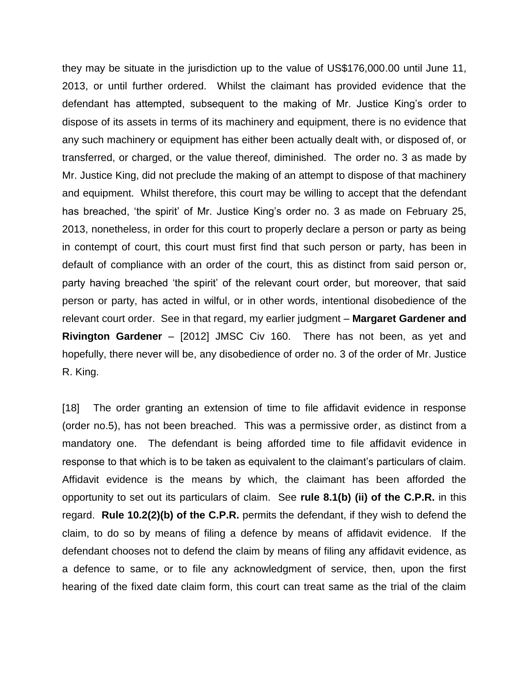they may be situate in the jurisdiction up to the value of US\$176,000.00 until June 11, 2013, or until further ordered. Whilst the claimant has provided evidence that the defendant has attempted, subsequent to the making of Mr. Justice King's order to dispose of its assets in terms of its machinery and equipment, there is no evidence that any such machinery or equipment has either been actually dealt with, or disposed of, or transferred, or charged, or the value thereof, diminished. The order no. 3 as made by Mr. Justice King, did not preclude the making of an attempt to dispose of that machinery and equipment. Whilst therefore, this court may be willing to accept that the defendant has breached, 'the spirit' of Mr. Justice King's order no. 3 as made on February 25, 2013, nonetheless, in order for this court to properly declare a person or party as being in contempt of court, this court must first find that such person or party, has been in default of compliance with an order of the court, this as distinct from said person or, party having breached 'the spirit' of the relevant court order, but moreover, that said person or party, has acted in wilful, or in other words, intentional disobedience of the relevant court order. See in that regard, my earlier judgment – **Margaret Gardener and Rivington Gardener** – [2012] JMSC Civ 160. There has not been, as yet and hopefully, there never will be, any disobedience of order no. 3 of the order of Mr. Justice R. King.

[18] The order granting an extension of time to file affidavit evidence in response (order no.5), has not been breached. This was a permissive order, as distinct from a mandatory one. The defendant is being afforded time to file affidavit evidence in response to that which is to be taken as equivalent to the claimant's particulars of claim. Affidavit evidence is the means by which, the claimant has been afforded the opportunity to set out its particulars of claim. See **rule 8.1(b) (ii) of the C.P.R.** in this regard. **Rule 10.2(2)(b) of the C.P.R.** permits the defendant, if they wish to defend the claim, to do so by means of filing a defence by means of affidavit evidence. If the defendant chooses not to defend the claim by means of filing any affidavit evidence, as a defence to same, or to file any acknowledgment of service, then, upon the first hearing of the fixed date claim form, this court can treat same as the trial of the claim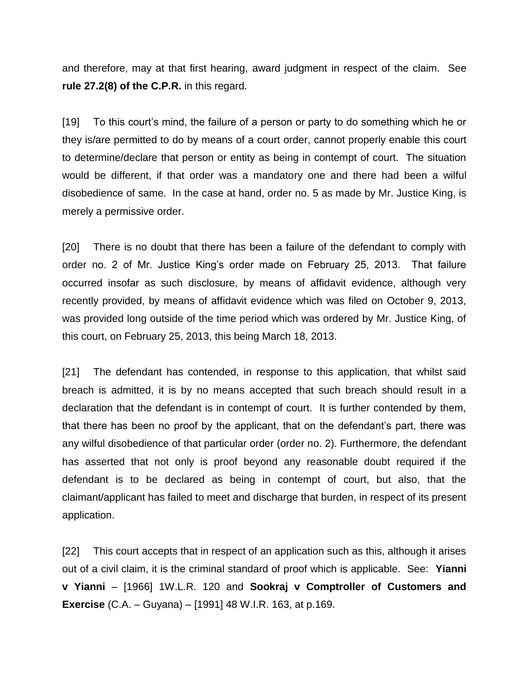and therefore, may at that first hearing, award judgment in respect of the claim. See **rule 27.2(8) of the C.P.R.** in this regard.

[19] To this court's mind, the failure of a person or party to do something which he or they is/are permitted to do by means of a court order, cannot properly enable this court to determine/declare that person or entity as being in contempt of court. The situation would be different, if that order was a mandatory one and there had been a wilful disobedience of same. In the case at hand, order no. 5 as made by Mr. Justice King, is merely a permissive order.

[20] There is no doubt that there has been a failure of the defendant to comply with order no. 2 of Mr. Justice King's order made on February 25, 2013. That failure occurred insofar as such disclosure, by means of affidavit evidence, although very recently provided, by means of affidavit evidence which was filed on October 9, 2013, was provided long outside of the time period which was ordered by Mr. Justice King, of this court, on February 25, 2013, this being March 18, 2013.

[21] The defendant has contended, in response to this application, that whilst said breach is admitted, it is by no means accepted that such breach should result in a declaration that the defendant is in contempt of court. It is further contended by them, that there has been no proof by the applicant, that on the defendant's part, there was any wilful disobedience of that particular order (order no. 2). Furthermore, the defendant has asserted that not only is proof beyond any reasonable doubt required if the defendant is to be declared as being in contempt of court, but also, that the claimant/applicant has failed to meet and discharge that burden, in respect of its present application.

[22] This court accepts that in respect of an application such as this, although it arises out of a civil claim, it is the criminal standard of proof which is applicable. See: **Yianni v Yianni** – [1966] 1W.L.R. 120 and **Sookraj v Comptroller of Customers and Exercise** (C.A. – Guyana) – [1991] 48 W.I.R. 163, at p.169.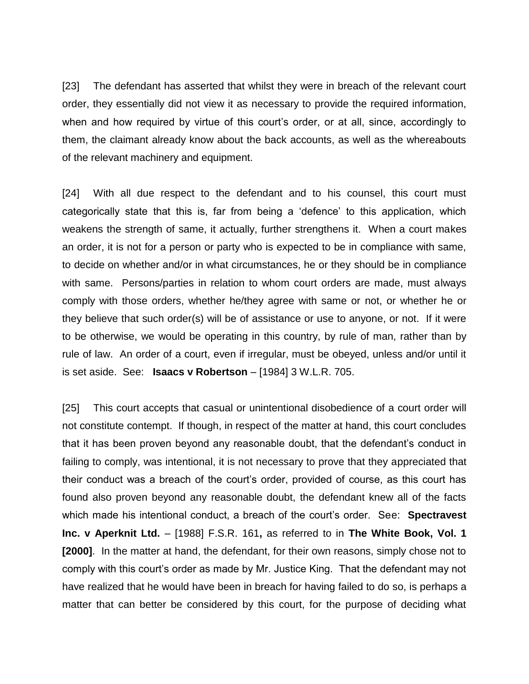[23] The defendant has asserted that whilst they were in breach of the relevant court order, they essentially did not view it as necessary to provide the required information, when and how required by virtue of this court's order, or at all, since, accordingly to them, the claimant already know about the back accounts, as well as the whereabouts of the relevant machinery and equipment.

[24] With all due respect to the defendant and to his counsel, this court must categorically state that this is, far from being a 'defence' to this application, which weakens the strength of same, it actually, further strengthens it. When a court makes an order, it is not for a person or party who is expected to be in compliance with same, to decide on whether and/or in what circumstances, he or they should be in compliance with same. Persons/parties in relation to whom court orders are made, must always comply with those orders, whether he/they agree with same or not, or whether he or they believe that such order(s) will be of assistance or use to anyone, or not. If it were to be otherwise, we would be operating in this country, by rule of man, rather than by rule of law. An order of a court, even if irregular, must be obeyed, unless and/or until it is set aside. See: **Isaacs v Robertson** – [1984] 3 W.L.R. 705.

[25] This court accepts that casual or unintentional disobedience of a court order will not constitute contempt. If though, in respect of the matter at hand, this court concludes that it has been proven beyond any reasonable doubt, that the defendant's conduct in failing to comply, was intentional, it is not necessary to prove that they appreciated that their conduct was a breach of the court's order, provided of course, as this court has found also proven beyond any reasonable doubt, the defendant knew all of the facts which made his intentional conduct, a breach of the court's order. See: **Spectravest Inc. v Aperknit Ltd.** – [1988] F.S.R. 161**,** as referred to in **The White Book, Vol. 1 [2000]**. In the matter at hand, the defendant, for their own reasons, simply chose not to comply with this court's order as made by Mr. Justice King. That the defendant may not have realized that he would have been in breach for having failed to do so, is perhaps a matter that can better be considered by this court, for the purpose of deciding what